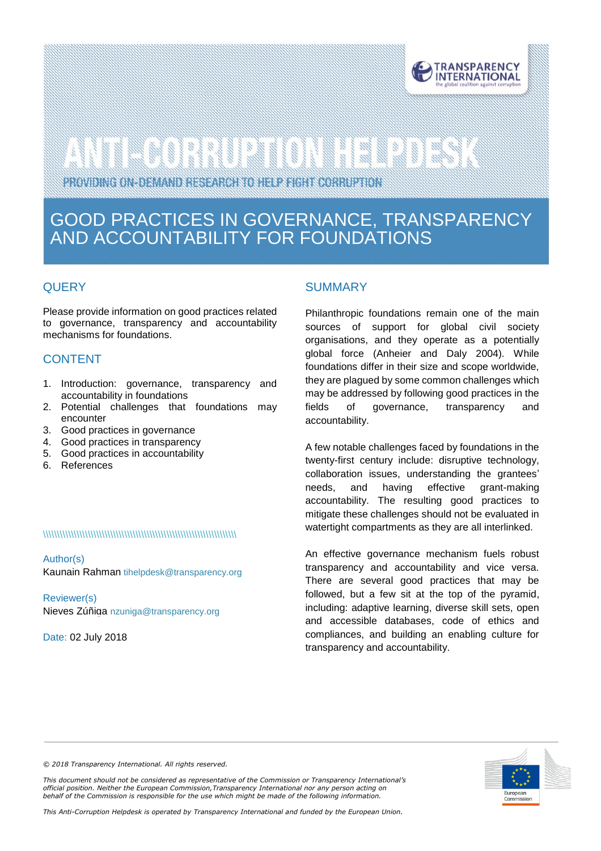

# 

PROVIDING ON-DEMAND RESEARCH TO HELP FIGHT CORRUPTION

# GOOD PRACTICES IN GOVERNANCE, TRANSPARENCY AND ACCOUNTABILITY FOR FOUNDATIONS

### **QUERY**

Please provide information on good practices related to governance, transparency and accountability mechanisms for foundations.

# **CONTENT**

- 1. Introduction: governance, transparency and accountability in foundations
- 2. Potential challenges that foundations may encounter
- 3. Good practices in governance
- 4. Good practices in transparency
- 5. Good practices in accountability
- 6. References

#### \\\\\\\\\\\\\\\\\\\\\\\\\\\\\\\\\\\\\\\\\\\\\\\\\\\\\\\\\\\\\\\\\\\\\

Author(s) Kaunain Rahman [tihelpdesk@transparency.org](mailto:tihelpdesk@transparency.org)

Reviewer(s) Nieves Zúñiga [nzuniga@transparency.org](mailto:nzuniga@transparency.org)

Date: 02 July 2018

### **SUMMARY**

Philanthropic foundations remain one of the main sources of support for global civil society organisations, and they operate as a potentially global force (Anheier and Daly 2004). While foundations differ in their size and scope worldwide, they are plagued by some common challenges which may be addressed by following good practices in the fields of governance, transparency and accountability.

A few notable challenges faced by foundations in the twenty-first century include: disruptive technology, collaboration issues, understanding the grantees' needs, and having effective grant-making accountability. The resulting good practices to mitigate these challenges should not be evaluated in watertight compartments as they are all interlinked.

An effective governance mechanism fuels robust transparency and accountability and vice versa. There are several good practices that may be followed, but a few sit at the top of the pyramid, including: adaptive learning, diverse skill sets, open and accessible databases, code of ethics and compliances, and building an enabling culture for transparency and accountability.



*© 2018 Transparency International. All rights reserved.*

*This document should not be considered as representative of the Commission or Transparency International's official position. Neither the European Commission,Transparency International nor any person acting on behalf of the Commission is responsible for the use which might be made of the following information.* 

*This Anti-Corruption Helpdesk is operated by Transparency International and funded by the European Union.*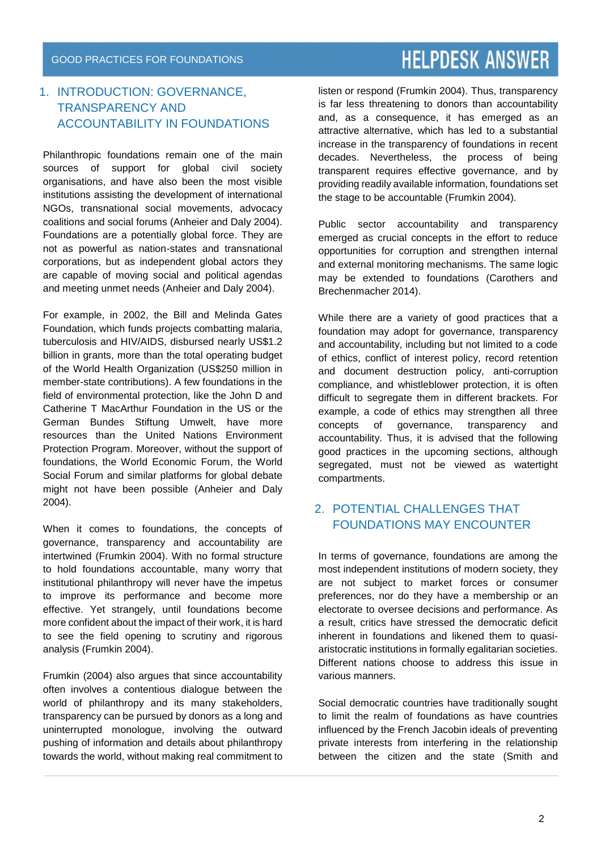# 1. INTRODUCTION: GOVERNANCE, TRANSPARENCY AND ACCOUNTABILITY IN FOUNDATIONS

Philanthropic foundations remain one of the main sources of support for global civil society organisations, and have also been the most visible institutions assisting the development of international NGOs, transnational social movements, advocacy coalitions and social forums (Anheier and Daly 2004). Foundations are a potentially global force. They are not as powerful as nation-states and transnational corporations, but as independent global actors they are capable of moving social and political agendas and meeting unmet needs (Anheier and Daly 2004).

For example, in 2002, the Bill and Melinda Gates Foundation, which funds projects combatting malaria, tuberculosis and HIV/AIDS, disbursed nearly US\$1.2 billion in grants, more than the total operating budget of the World Health Organization (US\$250 million in member-state contributions). A few foundations in the field of environmental protection, like the John D and Catherine T MacArthur Foundation in the US or the German Bundes Stiftung Umwelt, have more resources than the United Nations Environment Protection Program. Moreover, without the support of foundations, the World Economic Forum, the World Social Forum and similar platforms for global debate might not have been possible (Anheier and Daly 2004).

When it comes to foundations, the concepts of governance, transparency and accountability are intertwined (Frumkin 2004). With no formal structure to hold foundations accountable, many worry that institutional philanthropy will never have the impetus to improve its performance and become more effective. Yet strangely, until foundations become more confident about the impact of their work, it is hard to see the field opening to scrutiny and rigorous analysis (Frumkin 2004).

Frumkin (2004) also argues that since accountability often involves a contentious dialogue between the world of philanthropy and its many stakeholders, transparency can be pursued by donors as a long and uninterrupted monologue, involving the outward pushing of information and details about philanthropy towards the world, without making real commitment to

listen or respond (Frumkin 2004). Thus, transparency is far less threatening to donors than accountability and, as a consequence, it has emerged as an attractive alternative, which has led to a substantial increase in the transparency of foundations in recent decades. Nevertheless, the process of being transparent requires effective governance, and by providing readily available information, foundations set the stage to be accountable (Frumkin 2004).

Public sector accountability and transparency emerged as crucial concepts in the effort to reduce opportunities for corruption and strengthen internal and external monitoring mechanisms. The same logic may be extended to foundations (Carothers and Brechenmacher 2014).

While there are a variety of good practices that a foundation may adopt for governance, transparency and accountability, including but not limited to a code of ethics, conflict of interest policy, record retention and document destruction policy, anti-corruption compliance, and whistleblower protection, it is often difficult to segregate them in different brackets. For example, a code of ethics may strengthen all three concepts of governance, transparency and accountability. Thus, it is advised that the following good practices in the upcoming sections, although segregated, must not be viewed as watertight compartments.

# 2. POTENTIAL CHALLENGES THAT FOUNDATIONS MAY ENCOUNTER

In terms of governance, foundations are among the most independent institutions of modern society, they are not subject to market forces or consumer preferences, nor do they have a membership or an electorate to oversee decisions and performance. As a result, critics have stressed the democratic deficit inherent in foundations and likened them to quasiaristocratic institutions in formally egalitarian societies. Different nations choose to address this issue in various manners.

Social democratic countries have traditionally sought to limit the realm of foundations as have countries influenced by the French Jacobin ideals of preventing private interests from interfering in the relationship between the citizen and the state (Smith and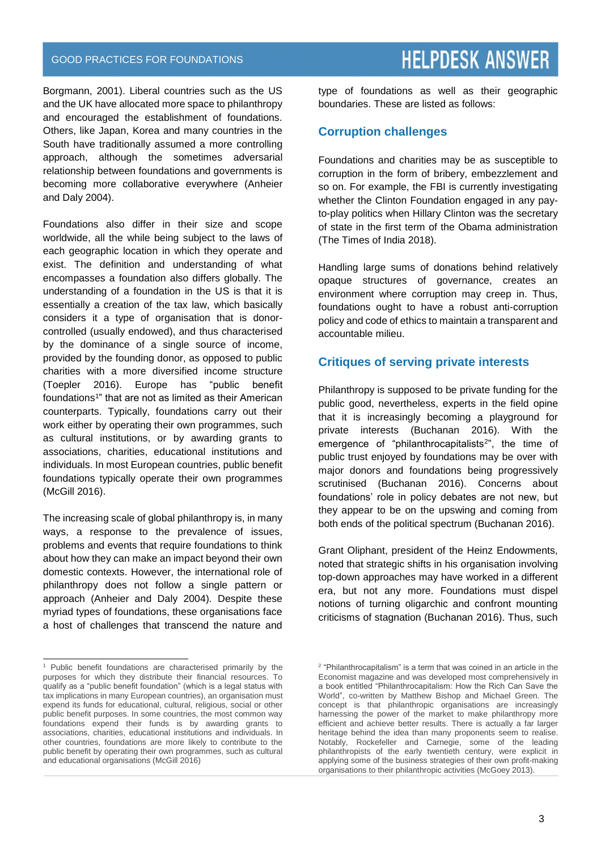Borgmann, 2001). Liberal countries such as the US and the UK have allocated more space to philanthropy and encouraged the establishment of foundations. Others, like Japan, Korea and many countries in the South have traditionally assumed a more controlling approach, although the sometimes adversarial relationship between foundations and governments is becoming more collaborative everywhere (Anheier and Daly 2004).

Foundations also differ in their size and scope worldwide, all the while being subject to the laws of each geographic location in which they operate and exist. The definition and understanding of what encompasses a foundation also differs globally. The understanding of a foundation in the US is that it is essentially a creation of the tax law, which basically considers it a type of organisation that is donorcontrolled (usually endowed), and thus characterised by the dominance of a single source of income, provided by the founding donor, as opposed to public charities with a more diversified income structure (Toepler 2016). Europe has "public benefit foundations<sup>1</sup>" that are not as limited as their American counterparts. Typically, foundations carry out their work either by operating their own programmes, such as cultural institutions, or by awarding grants to associations, charities, educational institutions and individuals. In most European countries, public benefit foundations typically operate their own programmes (McGill 2016).

The increasing scale of global philanthropy is, in many ways, a response to the prevalence of issues, problems and events that require foundations to think about how they can make an impact beyond their own domestic contexts. However, the international role of philanthropy does not follow a single pattern or approach (Anheier and Daly 2004). Despite these myriad types of foundations, these organisations face a host of challenges that transcend the nature and

 $\overline{a}$ 

# **HELPDESK ANSWER**

type of foundations as well as their geographic boundaries. These are listed as follows:

#### **Corruption challenges**

Foundations and charities may be as susceptible to corruption in the form of bribery, embezzlement and so on. For example, the FBI is currently investigating whether the Clinton Foundation engaged in any payto-play politics when Hillary Clinton was the secretary of state in the first term of the Obama administration (The Times of India 2018).

Handling large sums of donations behind relatively opaque structures of governance, creates an environment where corruption may creep in. Thus, foundations ought to have a robust anti-corruption policy and code of ethics to maintain a transparent and accountable milieu.

### **Critiques of serving private interests**

Philanthropy is supposed to be private funding for the public good, nevertheless, experts in the field opine that it is increasingly becoming a playground for private interests (Buchanan 2016). With the emergence of "philanthrocapitalists<sup>2</sup>", the time of public trust enjoyed by foundations may be over with major donors and foundations being progressively scrutinised (Buchanan 2016). Concerns about foundations' role in policy debates are not new, but they appear to be on the upswing and coming from both ends of the political spectrum (Buchanan 2016).

Grant Oliphant, president of the Heinz Endowments, noted that strategic shifts in his organisation involving top-down approaches may have worked in a different era, but not any more. Foundations must dispel notions of turning oligarchic and confront mounting criticisms of stagnation (Buchanan 2016). Thus, such

<sup>&</sup>lt;sup>1</sup> Public benefit foundations are characterised primarily by the purposes for which they distribute their financial resources. To qualify as a "public benefit foundation" (which is a legal status with tax implications in many European countries), an organisation must expend its funds for educational, cultural, religious, social or other public benefit purposes. In some countries, the most common way foundations expend their funds is by awarding grants to associations, charities, educational institutions and individuals. In other countries, foundations are more likely to contribute to the public benefit by operating their own programmes, such as cultural and educational organisations (McGill 2016)

<sup>&</sup>lt;sup>2</sup> "Philanthrocapitalism" is a term that was coined in an article in the Economist magazine and was developed most comprehensively in a book entitled "Philanthrocapitalism: How the Rich Can Save the World", co-written by Matthew Bishop and Michael Green. The concept is that philanthropic organisations are increasingly harnessing the power of the market to make philanthropy more efficient and achieve better results. There is actually a far larger heritage behind the idea than many proponents seem to realise. Notably, Rockefeller and Carnegie, some of the leading philanthropists of the early twentieth century, were explicit in applying some of the business strategies of their own profit-making organisations to their philanthropic activities (McGoey 2013).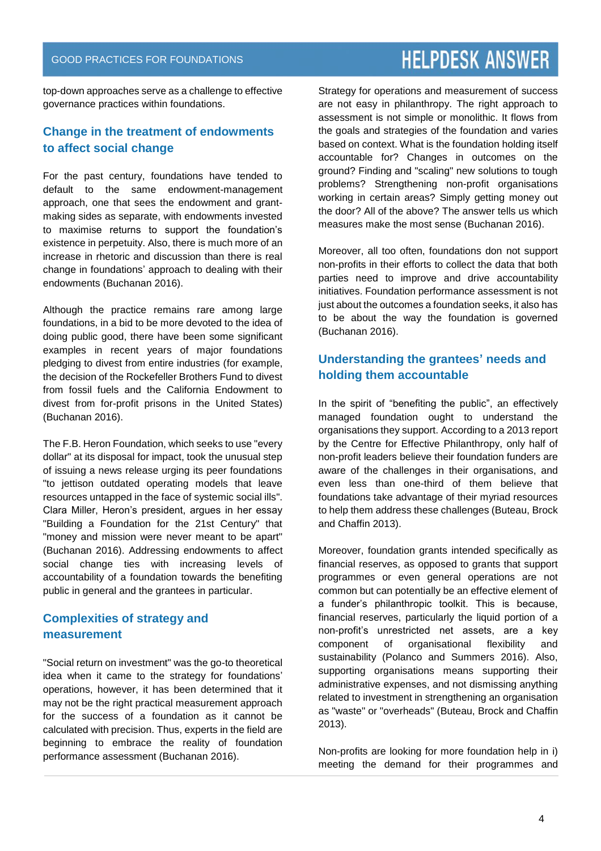top-down approaches serve as a challenge to effective governance practices within foundations.

### **Change in the treatment of endowments to affect social change**

For the past century, foundations have tended to default to the same endowment-management approach, one that sees the endowment and grantmaking sides as separate, with endowments invested to maximise returns to support the foundation's existence in perpetuity. Also, there is much more of an increase in rhetoric and discussion than there is real change in foundations' approach to dealing with their endowments (Buchanan 2016).

Although the practice remains rare among large foundations, in a bid to be more devoted to the idea of doing public good, there have been some significant examples in recent years of major foundations pledging to divest from entire industries (for example, the decision of the Rockefeller Brothers Fund to divest from fossil fuels and the California Endowment to divest from for-profit prisons in the United States) (Buchanan 2016).

The F.B. Heron Foundation, which seeks to use "every dollar" at its disposal for impact, took the unusual step of issuing a news release urging its peer foundations "to jettison outdated operating models that leave resources untapped in the face of systemic social ills". Clara Miller, Heron's president, argues in her essay "Building a Foundation for the 21st Century" that "money and mission were never meant to be apart" (Buchanan 2016). Addressing endowments to affect social change ties with increasing levels of accountability of a foundation towards the benefiting public in general and the grantees in particular.

### **Complexities of strategy and measurement**

"Social return on investment" was the go-to theoretical idea when it came to the strategy for foundations' operations, however, it has been determined that it may not be the right practical measurement approach for the success of a foundation as it cannot be calculated with precision. Thus, experts in the field are beginning to embrace the reality of foundation performance assessment (Buchanan 2016).

Strategy for operations and measurement of success are not easy in philanthropy. The right approach to assessment is not simple or monolithic. It flows from the goals and strategies of the foundation and varies based on context. What is the foundation holding itself accountable for? Changes in outcomes on the ground? Finding and "scaling" new solutions to tough problems? Strengthening non-profit organisations working in certain areas? Simply getting money out the door? All of the above? The answer tells us which measures make the most sense (Buchanan 2016).

Moreover, all too often, foundations don not support non-profits in their efforts to collect the data that both parties need to improve and drive accountability initiatives. Foundation performance assessment is not just about the outcomes a foundation seeks, it also has to be about the way the foundation is governed (Buchanan 2016).

# **Understanding the grantees' needs and holding them accountable**

In the spirit of "benefiting the public", an effectively managed foundation ought to understand the organisations they support. According to a 2013 report by the Centre for Effective Philanthropy, only half of non-profit leaders believe their foundation funders are aware of the challenges in their organisations, and even less than one-third of them believe that foundations take advantage of their myriad resources to help them address these challenges (Buteau, Brock and Chaffin 2013).

Moreover, foundation grants intended specifically as financial reserves, as opposed to grants that support programmes or even general operations are not common but can potentially be an effective element of a funder's philanthropic toolkit. This is because, financial reserves, particularly the liquid portion of a non-profit's unrestricted net assets, are a key component of organisational flexibility and sustainability (Polanco and Summers 2016). Also, supporting organisations means supporting their administrative expenses, and not dismissing anything related to investment in strengthening an organisation as "waste" or "overheads" (Buteau, Brock and Chaffin 2013).

Non-profits are looking for more foundation help in i) meeting the demand for their programmes and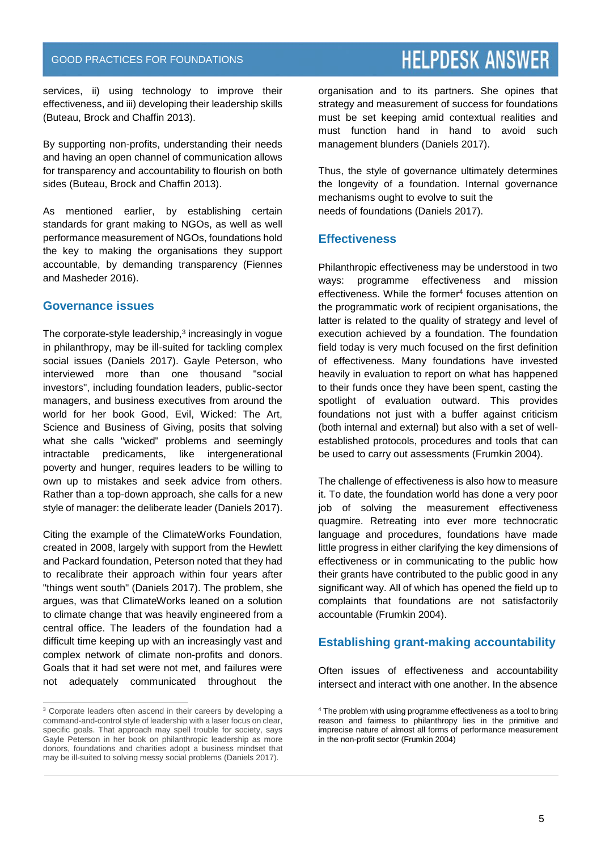services, ii) using technology to improve their effectiveness, and iii) developing their leadership skills (Buteau, Brock and Chaffin 2013).

By supporting non-profits, understanding their needs and having an open channel of communication allows for transparency and accountability to flourish on both sides (Buteau, Brock and Chaffin 2013).

As mentioned earlier, by establishing certain standards for grant making to NGOs, as well as well performance measurement of NGOs, foundations hold the key to making the organisations they support accountable, by demanding transparency (Fiennes and Masheder 2016).

#### **Governance issues**

The corporate-style leadership, 3 increasingly in vogue in philanthropy, may be ill-suited for tackling complex social issues (Daniels 2017). Gayle Peterson, who interviewed more than one thousand "social investors", including foundation leaders, public-sector managers, and business executives from around the world for her book Good, Evil, Wicked: The Art, Science and Business of Giving, posits that solving what she calls "wicked" problems and seemingly intractable predicaments, like intergenerational poverty and hunger, requires leaders to be willing to own up to mistakes and seek advice from others. Rather than a top-down approach, she calls for a new style of manager: the deliberate leader (Daniels 2017).

Citing the example of the ClimateWorks Foundation, created in 2008, largely with support from the Hewlett and Packard foundation, Peterson noted that they had to recalibrate their approach within four years after "things went south" (Daniels 2017). The problem, she argues, was that ClimateWorks leaned on a solution to climate change that was heavily engineered from a central office. The leaders of the foundation had a difficult time keeping up with an increasingly vast and complex network of climate non-profits and donors. Goals that it had set were not met, and failures were not adequately communicated throughout the organisation and to its partners. She opines that strategy and measurement of success for foundations must be set keeping amid contextual realities and must function hand in hand to avoid such management blunders (Daniels 2017).

Thus, the style of governance ultimately determines the longevity of a foundation. Internal governance mechanisms ought to evolve to suit the needs of foundations (Daniels 2017).

### **Effectiveness**

Philanthropic effectiveness may be understood in two ways: programme effectiveness and mission effectiveness. While the former<sup>4</sup> focuses attention on the programmatic work of recipient organisations, the latter is related to the quality of strategy and level of execution achieved by a foundation. The foundation field today is very much focused on the first definition of effectiveness. Many foundations have invested heavily in evaluation to report on what has happened to their funds once they have been spent, casting the spotlight of evaluation outward. This provides foundations not just with a buffer against criticism (both internal and external) but also with a set of wellestablished protocols, procedures and tools that can be used to carry out assessments (Frumkin 2004).

The challenge of effectiveness is also how to measure it. To date, the foundation world has done a very poor job of solving the measurement effectiveness quagmire. Retreating into ever more technocratic language and procedures, foundations have made little progress in either clarifying the key dimensions of effectiveness or in communicating to the public how their grants have contributed to the public good in any significant way. All of which has opened the field up to complaints that foundations are not satisfactorily accountable (Frumkin 2004).

### **Establishing grant-making accountability**

Often issues of effectiveness and accountability intersect and interact with one another. In the absence

l  $3$  Corporate leaders often ascend in their careers by developing a command-and-control style of leadership with a laser focus on clear, specific goals. That approach may spell trouble for society, says Gayle Peterson in her book on philanthropic leadership as more donors, foundations and charities adopt a business mindset that may be ill-suited to solving messy social problems (Daniels 2017).

<sup>&</sup>lt;sup>4</sup> The problem with using programme effectiveness as a tool to bring reason and fairness to philanthropy lies in the primitive and imprecise nature of almost all forms of performance measurement in the non-profit sector (Frumkin 2004)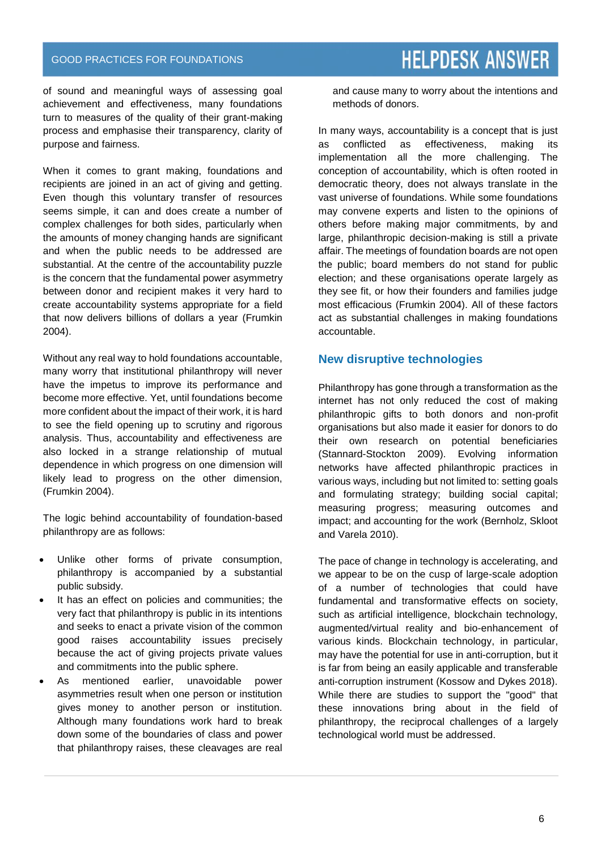of sound and meaningful ways of assessing goal achievement and effectiveness, many foundations turn to measures of the quality of their grant-making process and emphasise their transparency, clarity of purpose and fairness.

When it comes to grant making, foundations and recipients are joined in an act of giving and getting. Even though this voluntary transfer of resources seems simple, it can and does create a number of complex challenges for both sides, particularly when the amounts of money changing hands are significant and when the public needs to be addressed are substantial. At the centre of the accountability puzzle is the concern that the fundamental power asymmetry between donor and recipient makes it very hard to create accountability systems appropriate for a field that now delivers billions of dollars a year (Frumkin 2004).

Without any real way to hold foundations accountable, many worry that institutional philanthropy will never have the impetus to improve its performance and become more effective. Yet, until foundations become more confident about the impact of their work, it is hard to see the field opening up to scrutiny and rigorous analysis. Thus, accountability and effectiveness are also locked in a strange relationship of mutual dependence in which progress on one dimension will likely lead to progress on the other dimension, (Frumkin 2004).

The logic behind accountability of foundation-based philanthropy are as follows:

- Unlike other forms of private consumption, philanthropy is accompanied by a substantial public subsidy.
- It has an effect on policies and communities; the very fact that philanthropy is public in its intentions and seeks to enact a private vision of the common good raises accountability issues precisely because the act of giving projects private values and commitments into the public sphere.
- As mentioned earlier, unavoidable power asymmetries result when one person or institution gives money to another person or institution. Although many foundations work hard to break down some of the boundaries of class and power that philanthropy raises, these cleavages are real

and cause many to worry about the intentions and methods of donors.

In many ways, accountability is a concept that is just as conflicted as effectiveness, making its implementation all the more challenging. The conception of accountability, which is often rooted in democratic theory, does not always translate in the vast universe of foundations. While some foundations may convene experts and listen to the opinions of others before making major commitments, by and large, philanthropic decision-making is still a private affair. The meetings of foundation boards are not open the public; board members do not stand for public election; and these organisations operate largely as they see fit, or how their founders and families judge most efficacious (Frumkin 2004). All of these factors act as substantial challenges in making foundations accountable.

#### **New disruptive technologies**

Philanthropy has gone through a transformation as the internet has not only reduced the cost of making philanthropic gifts to both donors and non-profit organisations but also made it easier for donors to do their own research on potential beneficiaries (Stannard-Stockton 2009). Evolving information networks have affected philanthropic practices in various ways, including but not limited to: setting goals and formulating strategy; building social capital; measuring progress; measuring outcomes and impact; and accounting for the work (Bernholz, Skloot and Varela 2010).

The pace of change in technology is accelerating, and we appear to be on the cusp of large-scale adoption of a number of technologies that could have fundamental and transformative effects on society, such as artificial intelligence, blockchain technology, augmented/virtual reality and bio-enhancement of various kinds. Blockchain technology, in particular, may have the potential for use in anti-corruption, but it is far from being an easily applicable and transferable anti-corruption instrument (Kossow and Dykes 2018). While there are studies to support the "good" that these innovations bring about in the field of philanthropy, the reciprocal challenges of a largely technological world must be addressed.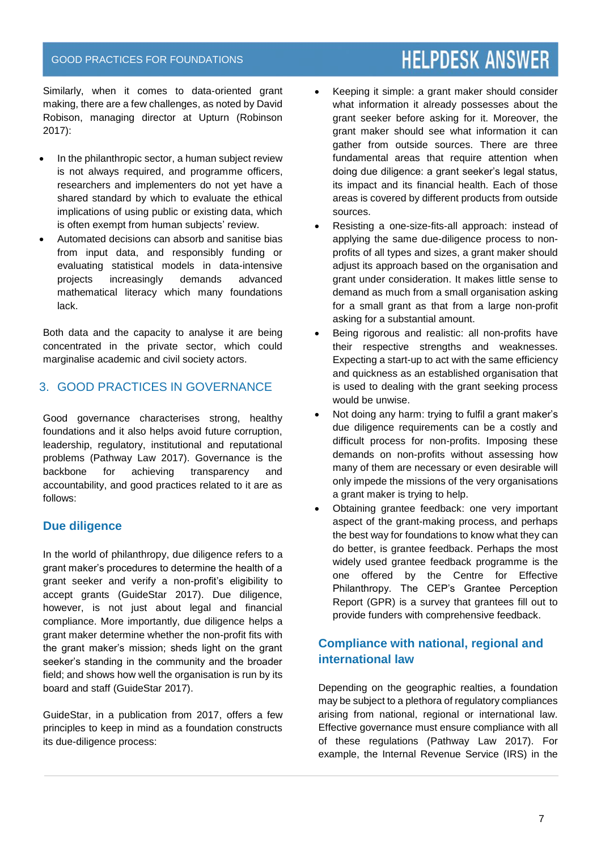Similarly, when it comes to data-oriented grant making, there are a few challenges, as noted by David Robison, managing director at Upturn (Robinson 2017):

- In the philanthropic sector, a human subject review is not always required, and programme officers, researchers and implementers do not yet have a shared standard by which to evaluate the ethical implications of using public or existing data, which is often exempt from human subjects' review.
- Automated decisions can absorb and sanitise bias from input data, and responsibly funding or evaluating statistical models in data-intensive projects increasingly demands advanced mathematical literacy which many foundations lack.

Both data and the capacity to analyse it are being concentrated in the private sector, which could marginalise academic and civil society actors.

# 3. GOOD PRACTICES IN GOVERNANCE

Good governance characterises strong, healthy foundations and it also helps avoid future corruption, leadership, regulatory, institutional and reputational problems (Pathway Law 2017). Governance is the backbone for achieving transparency and accountability, and good practices related to it are as follows:

### **Due diligence**

In the world of philanthropy, due diligence refers to a grant maker's procedures to determine the health of a grant seeker and verify a non-profit's eligibility to accept grants (GuideStar 2017). Due diligence, however, is not just about legal and financial compliance. More importantly, due diligence helps a grant maker determine whether the non-profit fits with the grant maker's mission; sheds light on the grant seeker's standing in the community and the broader field; and shows how well the organisation is run by its board and staff (GuideStar 2017).

GuideStar, in a publication from 2017, offers a few principles to keep in mind as a foundation constructs its due-diligence process:

- Keeping it simple: a grant maker should consider what information it already possesses about the grant seeker before asking for it. Moreover, the grant maker should see what information it can gather from outside sources. There are three fundamental areas that require attention when doing due diligence: a grant seeker's legal status, its impact and its financial health. Each of those areas is covered by different products from outside sources.
- Resisting a one-size-fits-all approach: instead of applying the same due-diligence process to nonprofits of all types and sizes, a grant maker should adjust its approach based on the organisation and grant under consideration. It makes little sense to demand as much from a small organisation asking for a small grant as that from a large non-profit asking for a substantial amount.
- Being rigorous and realistic: all non-profits have their respective strengths and weaknesses. Expecting a start-up to act with the same efficiency and quickness as an established organisation that is used to dealing with the grant seeking process would be unwise.
- Not doing any harm: trying to fulfil a grant maker's due diligence requirements can be a costly and difficult process for non-profits. Imposing these demands on non-profits without assessing how many of them are necessary or even desirable will only impede the missions of the very organisations a grant maker is trying to help.
- Obtaining grantee feedback: one very important aspect of the grant-making process, and perhaps the best way for foundations to know what they can do better, is grantee feedback. Perhaps the most widely used grantee feedback programme is the one offered by the Centre for Effective Philanthropy. The CEP's Grantee Perception Report (GPR) is a survey that grantees fill out to provide funders with comprehensive feedback.

# **Compliance with national, regional and international law**

Depending on the geographic realties, a foundation may be subject to a plethora of regulatory compliances arising from national, regional or international law. Effective governance must ensure compliance with all of these regulations (Pathway Law 2017). For example, the Internal Revenue Service (IRS) in the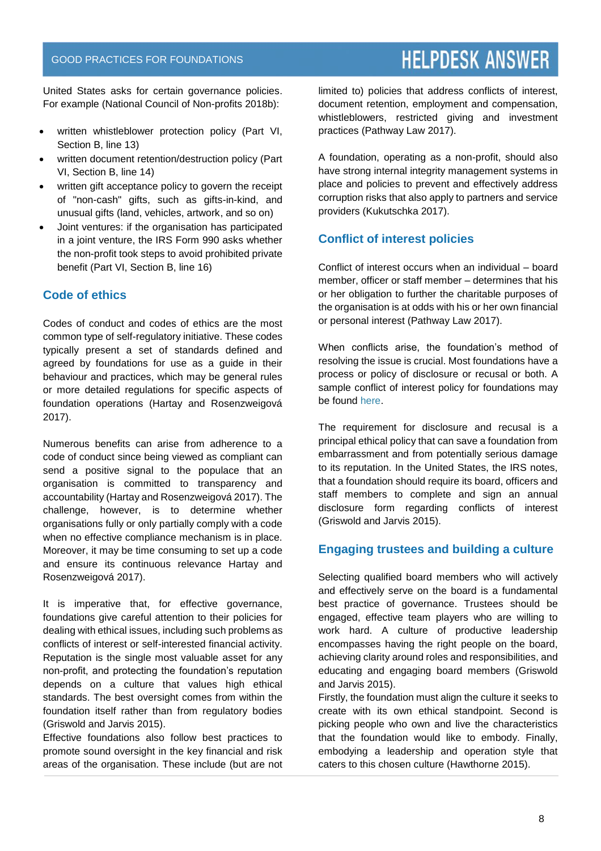United States asks for certain governance policies. For example (National Council of Non-profits 2018b):

- written whistleblower protection policy (Part VI, Section B, line 13)
- written document retention/destruction policy (Part VI, Section B, line 14)
- written gift acceptance policy to govern the receipt of "non-cash" gifts, such as gifts-in-kind, and unusual gifts (land, vehicles, artwork, and so on)
- Joint ventures: if the organisation has participated in a joint venture, the IRS Form 990 asks whether the non-profit took steps to avoid prohibited private benefit (Part VI, Section B, line 16)

# **Code of ethics**

Codes of conduct and codes of ethics are the most common type of self-regulatory initiative. These codes typically present a set of standards defined and agreed by foundations for use as a guide in their behaviour and practices, which may be general rules or more detailed regulations for specific aspects of foundation operations (Hartay and Rosenzweigová 2017).

Numerous benefits can arise from adherence to a code of conduct since being viewed as compliant can send a positive signal to the populace that an organisation is committed to transparency and accountability (Hartay and Rosenzweigová 2017). The challenge, however, is to determine whether organisations fully or only partially comply with a code when no effective compliance mechanism is in place. Moreover, it may be time consuming to set up a code and ensure its continuous relevance Hartay and Rosenzweigová 2017).

It is imperative that, for effective governance, foundations give careful attention to their policies for dealing with ethical issues, including such problems as conflicts of interest or self-interested financial activity. Reputation is the single most valuable asset for any non-profit, and protecting the foundation's reputation depends on a culture that values high ethical standards. The best oversight comes from within the foundation itself rather than from regulatory bodies (Griswold and Jarvis 2015).

Effective foundations also follow best practices to promote sound oversight in the key financial and risk areas of the organisation. These include (but are not limited to) policies that address conflicts of interest, document retention, employment and compensation, whistleblowers, restricted giving and investment practices (Pathway Law 2017).

A foundation, operating as a non-profit, should also have strong internal integrity management systems in place and policies to prevent and effectively address corruption risks that also apply to partners and service providers (Kukutschka 2017).

# **Conflict of interest policies**

Conflict of interest occurs when an individual – board member, officer or staff member – determines that his or her obligation to further the charitable purposes of the organisation is at odds with his or her own financial or personal interest (Pathway Law 2017).

When conflicts arise, the foundation's method of resolving the issue is crucial. Most foundations have a process or policy of disclosure or recusal or both. A sample conflict of interest policy for foundations may be found [here.](http://www.cof.org/sites/default/files/documents/files/Sample-Conflict-of-Interest-Policies-From-the-Council.pdf)

The requirement for disclosure and recusal is a principal ethical policy that can save a foundation from embarrassment and from potentially serious damage to its reputation. In the United States, the IRS notes, that a foundation should require its board, officers and staff members to complete and sign an annual disclosure form regarding conflicts of interest (Griswold and Jarvis 2015).

### **Engaging trustees and building a culture**

Selecting qualified board members who will actively and effectively serve on the board is a fundamental best practice of governance. Trustees should be engaged, effective team players who are willing to work hard. A culture of productive leadership encompasses having the right people on the board, achieving clarity around roles and responsibilities, and educating and engaging board members (Griswold and Jarvis 2015).

Firstly, the foundation must align the culture it seeks to create with its own ethical standpoint. Second is picking people who own and live the characteristics that the foundation would like to embody. Finally, embodying a leadership and operation style that caters to this chosen culture (Hawthorne 2015).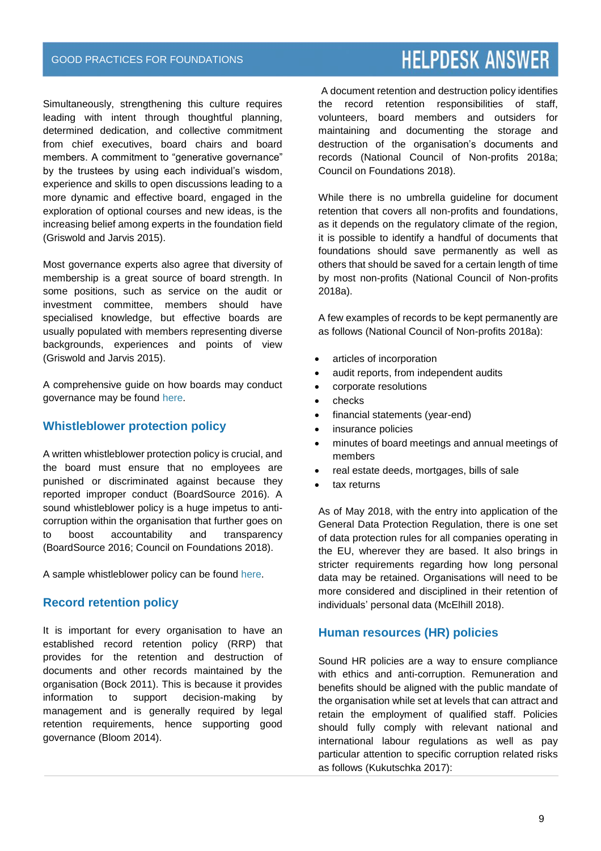Simultaneously, strengthening this culture requires leading with intent through thoughtful planning, determined dedication, and collective commitment from chief executives, board chairs and board members. A commitment to "generative governance" by the trustees by using each individual's wisdom, experience and skills to open discussions leading to a more dynamic and effective board, engaged in the exploration of optional courses and new ideas, is the increasing belief among experts in the foundation field (Griswold and Jarvis 2015).

Most governance experts also agree that diversity of membership is a great source of board strength. In some positions, such as service on the audit or investment committee, members should have specialised knowledge, but effective boards are usually populated with members representing diverse backgrounds, experiences and points of view (Griswold and Jarvis 2015).

A comprehensive guide on how boards may conduct governance may be found [here.](https://boardsource.org/wp-content/uploads/2016/10/Recommended-Gov-Practices.pdf)

#### **Whistleblower protection policy**

A written whistleblower protection policy is crucial, and the board must ensure that no employees are punished or discriminated against because they reported improper conduct (BoardSource 2016). A sound whistleblower policy is a huge impetus to anticorruption within the organisation that further goes on to boost accountability and transparency (BoardSource 2016; Council on Foundations 2018).

A sample whistleblower policy can be found [here.](https://www.councilofnonprofits.org/sites/default/files/Sample%20WhistleblowerPolicy%202.2010.pdf)

#### **Record retention policy**

It is important for every organisation to have an established record retention policy (RRP) that provides for the retention and destruction of documents and other records maintained by the organisation (Bock 2011). This is because it provides information to support decision-making by management and is generally required by legal retention requirements, hence supporting good governance (Bloom 2014).

# **HELPDESK ANSWER**

A document retention and destruction policy identifies the record retention responsibilities of staff, volunteers, board members and outsiders for maintaining and documenting the storage and destruction of the organisation's documents and records (National Council of Non-profits 2018a; Council on Foundations 2018).

While there is no umbrella guideline for document retention that covers all non-profits and foundations, as it depends on the regulatory climate of the region, it is possible to identify a handful of documents that foundations should save permanently as well as others that should be saved for a certain length of time by most non-profits (National Council of Non-profits 2018a).

A few examples of records to be kept permanently are as follows (National Council of Non-profits 2018a):

- articles of incorporation
- audit reports, from independent audits
- corporate resolutions
- checks
- financial statements (year-end)
- insurance policies
- minutes of board meetings and annual meetings of members
- real estate deeds, mortgages, bills of sale
- tax returns

As of May 2018, with the entry into application of the General Data Protection Regulation, there is one set of data protection rules for all companies operating in the EU, wherever they are based. It also brings in stricter requirements regarding how long personal data may be retained. Organisations will need to be more considered and disciplined in their retention of individuals' personal data (McElhill 2018).

### **Human resources (HR) policies**

Sound HR policies are a way to ensure compliance with ethics and anti-corruption. Remuneration and benefits should be aligned with the public mandate of the organisation while set at levels that can attract and retain the employment of qualified staff. Policies should fully comply with relevant national and international labour regulations as well as pay particular attention to specific corruption related risks as follows (Kukutschka 2017):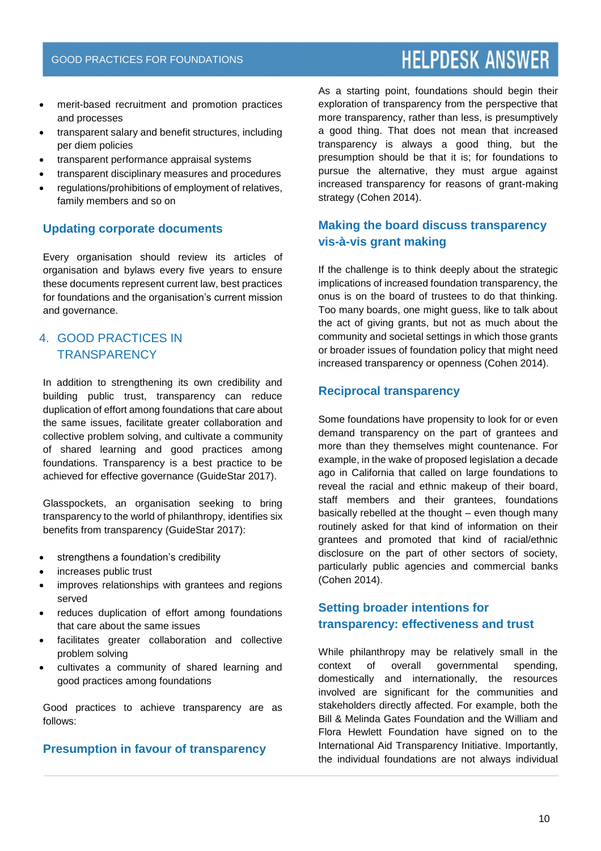- merit-based recruitment and promotion practices and processes
- transparent salary and benefit structures, including per diem policies
- transparent performance appraisal systems
- transparent disciplinary measures and procedures
- regulations/prohibitions of employment of relatives, family members and so on

# **Updating corporate documents**

Every organisation should review its articles of organisation and bylaws every five years to ensure these documents represent current law, best practices for foundations and the organisation's current mission and governance.

# 4. GOOD PRACTICES IN **TRANSPARENCY**

In addition to strengthening its own credibility and building public trust, transparency can reduce duplication of effort among foundations that care about the same issues, facilitate greater collaboration and collective problem solving, and cultivate a community of shared learning and good practices among foundations. Transparency is a best practice to be achieved for effective governance (GuideStar 2017).

Glasspockets, an organisation seeking to bring transparency to the world of philanthropy, identifies six benefits from transparency (GuideStar 2017):

- strengthens a foundation's credibility
- increases public trust
- improves relationships with grantees and regions served
- reduces duplication of effort among foundations that care about the same issues
- facilitates greater collaboration and collective problem solving
- cultivates a community of shared learning and good practices among foundations

Good practices to achieve transparency are as follows:

### **Presumption in favour of transparency**

As a starting point, foundations should begin their exploration of transparency from the perspective that more transparency, rather than less, is presumptively a good thing. That does not mean that increased transparency is always a good thing, but the presumption should be that it is; for foundations to pursue the alternative, they must argue against increased transparency for reasons of grant-making strategy (Cohen 2014).

# **Making the board discuss transparency vis-à-vis grant making**

If the challenge is to think deeply about the strategic implications of increased foundation transparency, the onus is on the board of trustees to do that thinking. Too many boards, one might guess, like to talk about the act of giving grants, but not as much about the community and societal settings in which those grants or broader issues of foundation policy that might need increased transparency or openness (Cohen 2014).

### **Reciprocal transparency**

Some foundations have propensity to look for or even demand transparency on the part of grantees and more than they themselves might countenance. For example, in the wake of proposed legislation a decade ago in California that called on large foundations to reveal the racial and ethnic makeup of their board, staff members and their grantees, foundations basically rebelled at the thought – even though many routinely asked for that kind of information on their grantees and promoted that kind of racial/ethnic disclosure on the part of other sectors of society, particularly public agencies and commercial banks (Cohen 2014).

# **Setting broader intentions for transparency: effectiveness and trust**

While philanthropy may be relatively small in the context of overall governmental spending, domestically and internationally, the resources involved are significant for the communities and stakeholders directly affected. For example, both the Bill & Melinda Gates Foundation and the William and Flora Hewlett Foundation have signed on to the International Aid Transparency Initiative. Importantly, the individual foundations are not always individual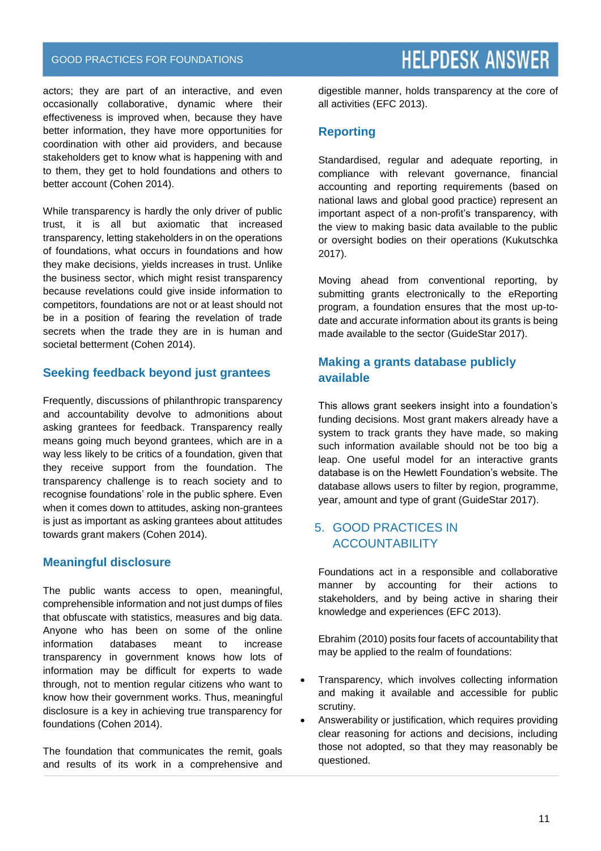#### GOOD PRACTICES FOR FOUNDATIONS

actors; they are part of an interactive, and even occasionally collaborative, dynamic where their effectiveness is improved when, because they have better information, they have more opportunities for coordination with other aid providers, and because stakeholders get to know what is happening with and to them, they get to hold foundations and others to better account (Cohen 2014).

While transparency is hardly the only driver of public trust, it is all but axiomatic that increased transparency, letting stakeholders in on the operations of foundations, what occurs in foundations and how they make decisions, yields increases in trust. Unlike the business sector, which might resist transparency because revelations could give inside information to competitors, foundations are not or at least should not be in a position of fearing the revelation of trade secrets when the trade they are in is human and societal betterment (Cohen 2014).

#### **Seeking feedback beyond just grantees**

Frequently, discussions of philanthropic transparency and accountability devolve to admonitions about asking grantees for feedback. Transparency really means going much beyond grantees, which are in a way less likely to be critics of a foundation, given that they receive support from the foundation. The transparency challenge is to reach society and to recognise foundations' role in the public sphere. Even when it comes down to attitudes, asking non-grantees is just as important as asking grantees about attitudes towards grant makers (Cohen 2014).

### **Meaningful disclosure**

The public wants access to open, meaningful, comprehensible information and not just dumps of files that obfuscate with statistics, measures and big data. Anyone who has been on some of the online information databases meant to increase transparency in government knows how lots of information may be difficult for experts to wade through, not to mention regular citizens who want to know how their government works. Thus, meaningful disclosure is a key in achieving true transparency for foundations (Cohen 2014).

The foundation that communicates the remit, goals and results of its work in a comprehensive and digestible manner, holds transparency at the core of all activities (EFC 2013).

### **Reporting**

Standardised, regular and adequate reporting, in compliance with relevant governance, financial accounting and reporting requirements (based on national laws and global good practice) represent an important aspect of a non-profit's transparency, with the view to making basic data available to the public or oversight bodies on their operations (Kukutschka 2017).

Moving ahead from conventional reporting, by submitting grants electronically to the eReporting program, a foundation ensures that the most up-todate and accurate information about its grants is being made available to the sector (GuideStar 2017).

# **Making a grants database publicly available**

This allows grant seekers insight into a foundation's funding decisions. Most grant makers already have a system to track grants they have made, so making such information available should not be too big a leap. One useful model for an interactive grants database is on the Hewlett Foundation's website. The database allows users to filter by region, programme, year, amount and type of grant (GuideStar 2017).

# 5. GOOD PRACTICES IN **ACCOUNTABILITY**

Foundations act in a responsible and collaborative manner by accounting for their actions to stakeholders, and by being active in sharing their knowledge and experiences (EFC 2013).

Ebrahim (2010) posits four facets of accountability that may be applied to the realm of foundations:

- Transparency, which involves collecting information and making it available and accessible for public scrutiny.
- Answerability or justification, which requires providing clear reasoning for actions and decisions, including those not adopted, so that they may reasonably be questioned.

# **HELPDESK ANSWER**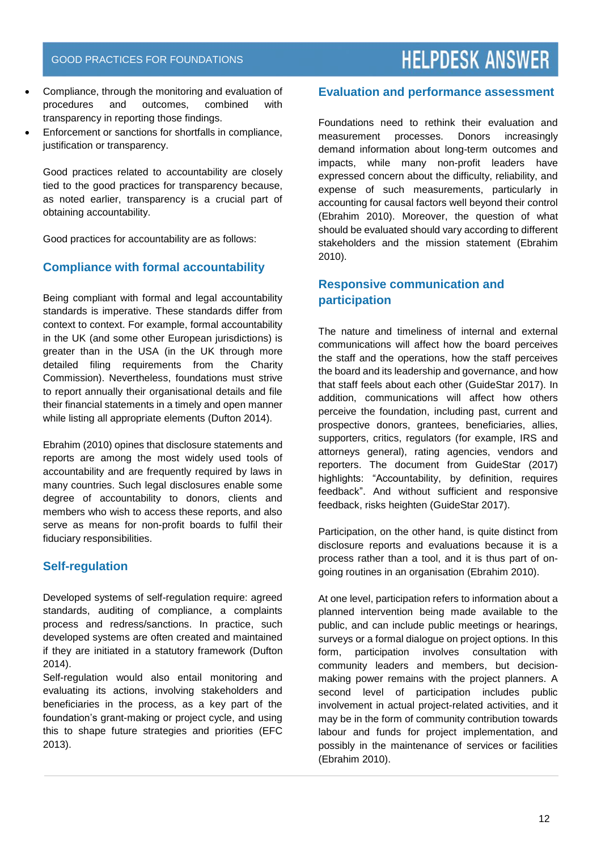- Compliance, through the monitoring and evaluation of procedures and outcomes, combined with transparency in reporting those findings.
- Enforcement or sanctions for shortfalls in compliance, justification or transparency.

Good practices related to accountability are closely tied to the good practices for transparency because, as noted earlier, transparency is a crucial part of obtaining accountability.

Good practices for accountability are as follows:

### **Compliance with formal accountability**

Being compliant with formal and legal accountability standards is imperative. These standards differ from context to context. For example, formal accountability in the UK (and some other European jurisdictions) is greater than in the USA (in the UK through more detailed filing requirements from the Charity Commission). Nevertheless, foundations must strive to report annually their organisational details and file their financial statements in a timely and open manner while listing all appropriate elements (Dufton 2014).

Ebrahim (2010) opines that disclosure statements and reports are among the most widely used tools of accountability and are frequently required by laws in many countries. Such legal disclosures enable some degree of accountability to donors, clients and members who wish to access these reports, and also serve as means for non-profit boards to fulfil their fiduciary responsibilities.

### **Self-regulation**

Developed systems of self-regulation require: agreed standards, auditing of compliance, a complaints process and redress/sanctions. In practice, such developed systems are often created and maintained if they are initiated in a statutory framework (Dufton 2014).

Self-regulation would also entail monitoring and evaluating its actions, involving stakeholders and beneficiaries in the process, as a key part of the foundation's grant-making or project cycle, and using this to shape future strategies and priorities (EFC 2013).

#### **Evaluation and performance assessment**

Foundations need to rethink their evaluation and measurement processes. Donors increasingly demand information about long-term outcomes and impacts, while many non-profit leaders have expressed concern about the difficulty, reliability, and expense of such measurements, particularly in accounting for causal factors well beyond their control (Ebrahim 2010). Moreover, the question of what should be evaluated should vary according to different stakeholders and the mission statement (Ebrahim 2010).

# **Responsive communication and participation**

The nature and timeliness of internal and external communications will affect how the board perceives the staff and the operations, how the staff perceives the board and its leadership and governance, and how that staff feels about each other (GuideStar 2017). In addition, communications will affect how others perceive the foundation, including past, current and prospective donors, grantees, beneficiaries, allies, supporters, critics, regulators (for example, IRS and attorneys general), rating agencies, vendors and reporters. The document from GuideStar (2017) highlights: "Accountability, by definition, requires feedback". And without sufficient and responsive feedback, risks heighten (GuideStar 2017).

Participation, on the other hand, is quite distinct from disclosure reports and evaluations because it is a process rather than a tool, and it is thus part of ongoing routines in an organisation (Ebrahim 2010).

At one level, participation refers to information about a planned intervention being made available to the public, and can include public meetings or hearings, surveys or a formal dialogue on project options. In this form, participation involves consultation with community leaders and members, but decisionmaking power remains with the project planners. A second level of participation includes public involvement in actual project-related activities, and it may be in the form of community contribution towards labour and funds for project implementation, and possibly in the maintenance of services or facilities (Ebrahim 2010).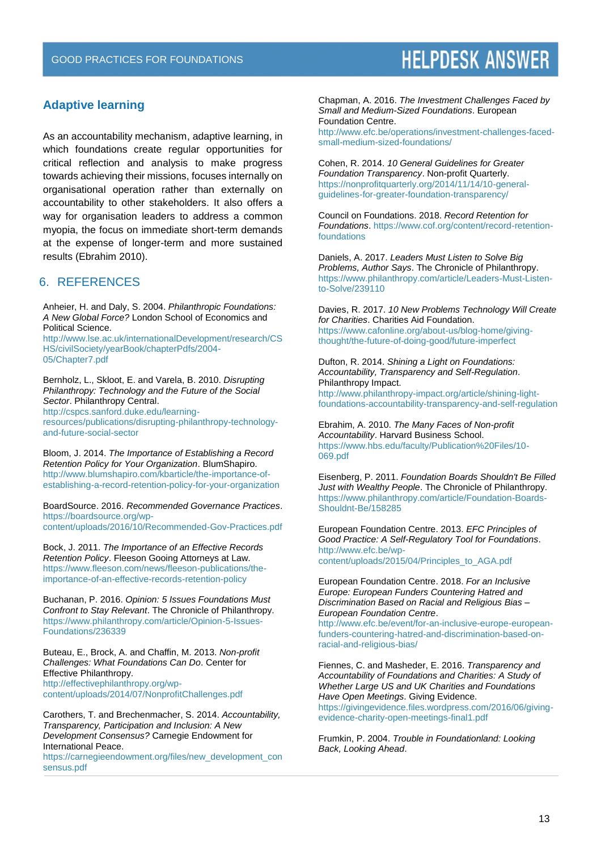### **Adaptive learning**

As an accountability mechanism, adaptive learning, in which foundations create regular opportunities for critical reflection and analysis to make progress towards achieving their missions, focuses internally on organisational operation rather than externally on accountability to other stakeholders. It also offers a way for organisation leaders to address a common myopia, the focus on immediate short-term demands at the expense of longer-term and more sustained results (Ebrahim 2010).

#### 6. REFERENCES

Anheier, H. and Daly, S. 2004. *Philanthropic Foundations: A New Global Force?* London School of Economics and Political Science.

[http://www.lse.ac.uk/internationalDevelopment/research/CS](http://www.lse.ac.uk/internationalDevelopment/research/CSHS/civilSociety/yearBook/chapterPdfs/2004-05/Chapter7.pdf) [HS/civilSociety/yearBook/chapterPdfs/2004-](http://www.lse.ac.uk/internationalDevelopment/research/CSHS/civilSociety/yearBook/chapterPdfs/2004-05/Chapter7.pdf) [05/Chapter7.pdf](http://www.lse.ac.uk/internationalDevelopment/research/CSHS/civilSociety/yearBook/chapterPdfs/2004-05/Chapter7.pdf)

Bernholz, L., Skloot, E. and Varela, B. 2010. *Disrupting Philanthropy: Technology and the Future of the Social Sector*. Philanthropy Central.

[http://cspcs.sanford.duke.edu/learning-](http://cspcs.sanford.duke.edu/learning-resources/publications/disrupting-philanthropy-technology-and-future-social-sector)

[resources/publications/disrupting-philanthropy-technology](http://cspcs.sanford.duke.edu/learning-resources/publications/disrupting-philanthropy-technology-and-future-social-sector)[and-future-social-sector](http://cspcs.sanford.duke.edu/learning-resources/publications/disrupting-philanthropy-technology-and-future-social-sector)

Bloom, J. 2014. *The Importance of Establishing a Record Retention Policy for Your Organization*. BlumShapiro. [http://www.blumshapiro.com/kbarticle/the-importance-of](http://www.blumshapiro.com/kbarticle/the-importance-of-establishing-a-record-retention-policy-for-your-organization)[establishing-a-record-retention-policy-for-your-organization](http://www.blumshapiro.com/kbarticle/the-importance-of-establishing-a-record-retention-policy-for-your-organization)

BoardSource. 2016. *Recommended Governance Practices*. [https://boardsource.org/wp](https://boardsource.org/wp-content/uploads/2016/10/Recommended-Gov-Practices.pdf)[content/uploads/2016/10/Recommended-Gov-Practices.pdf](https://boardsource.org/wp-content/uploads/2016/10/Recommended-Gov-Practices.pdf)

Bock, J. 2011. *The Importance of an Effective Records Retention Policy*. Fleeson Gooing Attorneys at Law. [https://www.fleeson.com/news/fleeson-publications/the](https://www.fleeson.com/news/fleeson-publications/the-importance-of-an-effective-records-retention-policy)[importance-of-an-effective-records-retention-policy](https://www.fleeson.com/news/fleeson-publications/the-importance-of-an-effective-records-retention-policy)

Buchanan, P. 2016. *Opinion: 5 Issues Foundations Must Confront to Stay Relevant*. The Chronicle of Philanthropy. [https://www.philanthropy.com/article/Opinion-5-Issues-](https://www.philanthropy.com/article/Opinion-5-Issues-Foundations/236339)[Foundations/236339](https://www.philanthropy.com/article/Opinion-5-Issues-Foundations/236339)

Buteau, E., Brock, A. and Chaffin, M. 2013. *Non-profit Challenges: What Foundations Can Do*. Center for Effective Philanthropy. [http://effectivephilanthropy.org/wp](http://effectivephilanthropy.org/wp-content/uploads/2014/07/NonprofitChallenges.pdf)[content/uploads/2014/07/NonprofitChallenges.pdf](http://effectivephilanthropy.org/wp-content/uploads/2014/07/NonprofitChallenges.pdf)

Carothers, T. and Brechenmacher, S. 2014. *Accountability, Transparency, Participation and Inclusion: A New Development Consensus?* Carnegie Endowment for International Peace.

[https://carnegieendowment.org/files/new\\_development\\_con](https://carnegieendowment.org/files/new_development_consensus.pdf) [sensus.pdf](https://carnegieendowment.org/files/new_development_consensus.pdf)

Chapman, A. 2016. *The Investment Challenges Faced by Small and Medium-Sized Foundations*. European Foundation Centre.

[http://www.efc.be/operations/investment-challenges-faced](http://www.efc.be/operations/investment-challenges-faced-small-medium-sized-foundations/)[small-medium-sized-foundations/](http://www.efc.be/operations/investment-challenges-faced-small-medium-sized-foundations/)

Cohen, R. 2014. *10 General Guidelines for Greater Foundation Transparency*. Non-profit Quarterly. [https://nonprofitquarterly.org/2014/11/14/10-general](https://nonprofitquarterly.org/2014/11/14/10-general-guidelines-for-greater-foundation-transparency/)[guidelines-for-greater-foundation-transparency/](https://nonprofitquarterly.org/2014/11/14/10-general-guidelines-for-greater-foundation-transparency/)

Council on Foundations. 2018. *Record Retention for Foundations*[. https://www.cof.org/content/record-retention](https://www.cof.org/content/record-retention-foundations)[foundations](https://www.cof.org/content/record-retention-foundations)

Daniels, A. 2017. *Leaders Must Listen to Solve Big Problems, Author Says*. The Chronicle of Philanthropy. [https://www.philanthropy.com/article/Leaders-Must-Listen](https://www.philanthropy.com/article/Leaders-Must-Listen-to-Solve/239110)[to-Solve/239110](https://www.philanthropy.com/article/Leaders-Must-Listen-to-Solve/239110)

Davies, R. 2017. *10 New Problems Technology Will Create for Charities*. Charities Aid Foundation. [https://www.cafonline.org/about-us/blog-home/giving](https://www.cafonline.org/about-us/blog-home/giving-thought/the-future-of-doing-good/future-imperfect)[thought/the-future-of-doing-good/future-imperfect](https://www.cafonline.org/about-us/blog-home/giving-thought/the-future-of-doing-good/future-imperfect)

Dufton, R. 2014. *Shining a Light on Foundations: Accountability, Transparency and Self-Regulation*. Philanthropy Impact. [http://www.philanthropy-impact.org/article/shining-light](http://www.philanthropy-impact.org/article/shining-light-foundations-accountability-transparency-and-self-regulation)[foundations-accountability-transparency-and-self-regulation](http://www.philanthropy-impact.org/article/shining-light-foundations-accountability-transparency-and-self-regulation)

Ebrahim, A. 2010. *The Many Faces of Non-profit Accountability*. Harvard Business School. [https://www.hbs.edu/faculty/Publication%20Files/10-](https://www.hbs.edu/faculty/Publication%20Files/10-069.pdf) [069.pdf](https://www.hbs.edu/faculty/Publication%20Files/10-069.pdf)

Eisenberg, P. 2011. *Foundation Boards Shouldn't Be Filled Just with Wealthy People*. The Chronicle of Philanthropy. [https://www.philanthropy.com/article/Foundation-Boards-](https://www.philanthropy.com/article/Foundation-Boards-Shouldnt-Be/158285)[Shouldnt-Be/158285](https://www.philanthropy.com/article/Foundation-Boards-Shouldnt-Be/158285)

European Foundation Centre. 2013. *EFC Principles of Good Practice: A Self-Regulatory Tool for Foundations*. [http://www.efc.be/wp](http://www.efc.be/wp-content/uploads/2015/04/Principles_to_AGA.pdf)[content/uploads/2015/04/Principles\\_to\\_AGA.pdf](http://www.efc.be/wp-content/uploads/2015/04/Principles_to_AGA.pdf)

European Foundation Centre. 2018. *For an Inclusive Europe: European Funders Countering Hatred and Discrimination Based on Racial and Religious Bias – European Foundation Centre*.

[http://www.efc.be/event/for-an-inclusive-europe-european](http://www.efc.be/event/for-an-inclusive-europe-european-funders-countering-hatred-and-discrimination-based-on-racial-and-religious-bias/)[funders-countering-hatred-and-discrimination-based-on](http://www.efc.be/event/for-an-inclusive-europe-european-funders-countering-hatred-and-discrimination-based-on-racial-and-religious-bias/)[racial-and-religious-bias/](http://www.efc.be/event/for-an-inclusive-europe-european-funders-countering-hatred-and-discrimination-based-on-racial-and-religious-bias/)

Fiennes, C. and Masheder, E. 2016. *Transparency and Accountability of Foundations and Charities: A Study of Whether Large US and UK Charities and Foundations Have Open Meetings*. Giving Evidence. [https://givingevidence.files.wordpress.com/2016/06/giving](https://givingevidence.files.wordpress.com/2016/06/giving-evidence-charity-open-meetings-final1.pdf)[evidence-charity-open-meetings-final1.pdf](https://givingevidence.files.wordpress.com/2016/06/giving-evidence-charity-open-meetings-final1.pdf)

Frumkin, P. 2004. *Trouble in Foundationland: Looking Back, Looking Ahead*.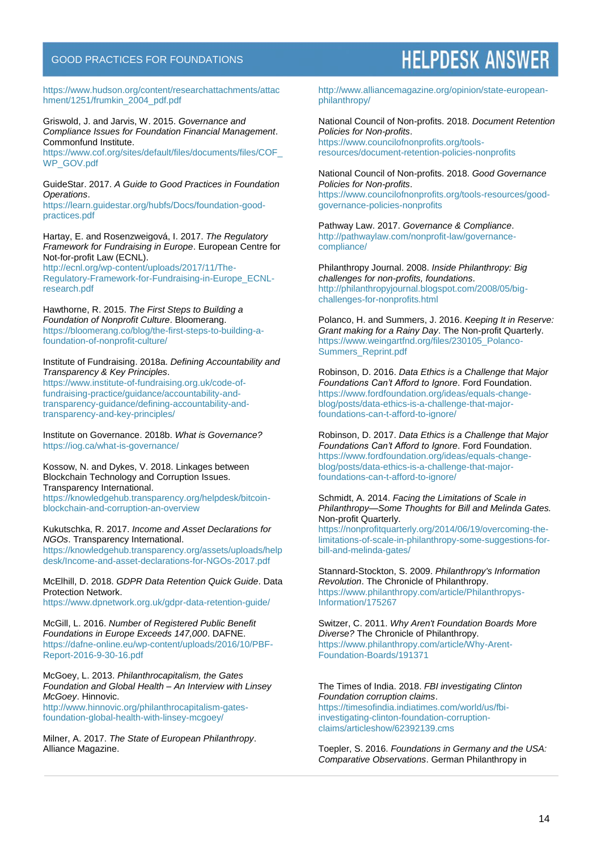#### GOOD PRACTICES FOR FOUNDATIONS

[https://www.hudson.org/content/researchattachments/attac](https://www.hudson.org/content/researchattachments/attachment/1251/frumkin_2004_pdf.pdf) [hment/1251/frumkin\\_2004\\_pdf.pdf](https://www.hudson.org/content/researchattachments/attachment/1251/frumkin_2004_pdf.pdf)

Griswold, J. and Jarvis, W. 2015. *Governance and Compliance Issues for Foundation Financial Management*. Commonfund Institute.

[https://www.cof.org/sites/default/files/documents/files/COF\\_](https://www.cof.org/sites/default/files/documents/files/COF_WP_GOV.pdf) [WP\\_GOV.pdf](https://www.cof.org/sites/default/files/documents/files/COF_WP_GOV.pdf)

GuideStar. 2017. *A Guide to Good Practices in Foundation Operations*.

[https://learn.guidestar.org/hubfs/Docs/foundation-good](https://learn.guidestar.org/hubfs/Docs/foundation-good-practices.pdf)[practices.pdf](https://learn.guidestar.org/hubfs/Docs/foundation-good-practices.pdf)

Hartay, E. and Rosenzweigová, I. 2017. *The Regulatory Framework for Fundraising in Europe*. European Centre for Not-for-profit Law (ECNL).

[http://ecnl.org/wp-content/uploads/2017/11/The-](http://ecnl.org/wp-content/uploads/2017/11/The-Regulatory-Framework-for-Fundraising-in-Europe_ECNL-research.pdf)[Regulatory-Framework-for-Fundraising-in-Europe\\_ECNL](http://ecnl.org/wp-content/uploads/2017/11/The-Regulatory-Framework-for-Fundraising-in-Europe_ECNL-research.pdf)[research.pdf](http://ecnl.org/wp-content/uploads/2017/11/The-Regulatory-Framework-for-Fundraising-in-Europe_ECNL-research.pdf)

Hawthorne, R. 2015. *The First Steps to Building a Foundation of Nonprofit Culture*. Bloomerang. [https://bloomerang.co/blog/the-first-steps-to-building-a](https://bloomerang.co/blog/the-first-steps-to-building-a-foundation-of-nonprofit-culture/)[foundation-of-nonprofit-culture/](https://bloomerang.co/blog/the-first-steps-to-building-a-foundation-of-nonprofit-culture/)

Institute of Fundraising. 2018a. *Defining Accountability and Transparency & Key Principles*.

[https://www.institute-of-fundraising.org.uk/code-of](https://www.institute-of-fundraising.org.uk/code-of-fundraising-practice/guidance/accountability-and-transparency-guidance/defining-accountability-and-transparency-and-key-principles/)[fundraising-practice/guidance/accountability-and](https://www.institute-of-fundraising.org.uk/code-of-fundraising-practice/guidance/accountability-and-transparency-guidance/defining-accountability-and-transparency-and-key-principles/)[transparency-guidance/defining-accountability-and](https://www.institute-of-fundraising.org.uk/code-of-fundraising-practice/guidance/accountability-and-transparency-guidance/defining-accountability-and-transparency-and-key-principles/)[transparency-and-key-principles/](https://www.institute-of-fundraising.org.uk/code-of-fundraising-practice/guidance/accountability-and-transparency-guidance/defining-accountability-and-transparency-and-key-principles/)

Institute on Governance. 2018b. *What is Governance?* <https://iog.ca/what-is-governance/>

Kossow, N. and Dykes, V. 2018. Linkages between Blockchain Technology and Corruption Issues. Transparency International. [https://knowledgehub.transparency.org/helpdesk/bitcoin](https://knowledgehub.transparency.org/helpdesk/bitcoin-blockchain-and-corruption-an-overview)[blockchain-and-corruption-an-overview](https://knowledgehub.transparency.org/helpdesk/bitcoin-blockchain-and-corruption-an-overview)

Kukutschka, R. 2017. *Income and Asset Declarations for NGOs*. Transparency International.

[https://knowledgehub.transparency.org/assets/uploads/help](https://knowledgehub.transparency.org/assets/uploads/helpdesk/Income-and-asset-declarations-for-NGOs-2017.pdf) [desk/Income-and-asset-declarations-for-NGOs-2017.pdf](https://knowledgehub.transparency.org/assets/uploads/helpdesk/Income-and-asset-declarations-for-NGOs-2017.pdf)

McElhill, D. 2018. *GDPR Data Retention Quick Guide*. Data Protection Network.

<https://www.dpnetwork.org.uk/gdpr-data-retention-guide/>

McGill, L. 2016. *Number of Registered Public Benefit Foundations in Europe Exceeds 147,000*. DAFNE. [https://dafne-online.eu/wp-content/uploads/2016/10/PBF-](https://dafne-online.eu/wp-content/uploads/2016/10/PBF-Report-2016-9-30-16.pdf)[Report-2016-9-30-16.pdf](https://dafne-online.eu/wp-content/uploads/2016/10/PBF-Report-2016-9-30-16.pdf)

McGoey, L. 2013. *Philanthrocapitalism, the Gates Foundation and Global Health – An Interview with Linsey McGoey*. Hinnovic.

[http://www.hinnovic.org/philanthrocapitalism-gates](http://www.hinnovic.org/philanthrocapitalism-gates-foundation-global-health-with-linsey-mcgoey/)[foundation-global-health-with-linsey-mcgoey/](http://www.hinnovic.org/philanthrocapitalism-gates-foundation-global-health-with-linsey-mcgoey/)

Milner, A. 2017. *The State of European Philanthropy*. Alliance Magazine.

# **HELPDESK ANSWER**

[http://www.alliancemagazine.org/opinion/state-european](http://www.alliancemagazine.org/opinion/state-european-philanthropy/)[philanthropy/](http://www.alliancemagazine.org/opinion/state-european-philanthropy/)

National Council of Non-profits. 2018. *Document Retention Policies for Non-profits*. [https://www.councilofnonprofits.org/tools](https://www.councilofnonprofits.org/tools-resources/document-retention-policies-nonprofits)[resources/document-retention-policies-nonprofits](https://www.councilofnonprofits.org/tools-resources/document-retention-policies-nonprofits)

National Council of Non-profits. 2018. *Good Governance Policies for Non-profits*. [https://www.councilofnonprofits.org/tools-resources/good](https://www.councilofnonprofits.org/tools-resources/good-governance-policies-nonprofits)[governance-policies-nonprofits](https://www.councilofnonprofits.org/tools-resources/good-governance-policies-nonprofits)

Pathway Law. 2017. *Governance & Compliance*. [http://pathwaylaw.com/nonprofit-law/governance](http://pathwaylaw.com/nonprofit-law/governance-compliance/)[compliance/](http://pathwaylaw.com/nonprofit-law/governance-compliance/)

Philanthropy Journal. 2008. *Inside Philanthropy: Big challenges for non-profits, foundations*. [http://philanthropyjournal.blogspot.com/2008/05/big](http://philanthropyjournal.blogspot.com/2008/05/big-challenges-for-nonprofits.html)[challenges-for-nonprofits.html](http://philanthropyjournal.blogspot.com/2008/05/big-challenges-for-nonprofits.html)

Polanco, H. and Summers, J. 2016. *Keeping It in Reserve: Grant making for a Rainy Day*. The Non-profit Quarterly. [https://www.weingartfnd.org/files/230105\\_Polanco-](https://www.weingartfnd.org/files/230105_Polanco-Summers_Reprint.pdf)[Summers\\_Reprint.pdf](https://www.weingartfnd.org/files/230105_Polanco-Summers_Reprint.pdf)

Robinson, D. 2016. *Data Ethics is a Challenge that Major Foundations Can't Afford to Ignore*. Ford Foundation. [https://www.fordfoundation.org/ideas/equals-change](https://www.fordfoundation.org/ideas/equals-change-blog/posts/data-ethics-is-a-challenge-that-major-foundations-can-t-afford-to-ignore/)[blog/posts/data-ethics-is-a-challenge-that-major](https://www.fordfoundation.org/ideas/equals-change-blog/posts/data-ethics-is-a-challenge-that-major-foundations-can-t-afford-to-ignore/)[foundations-can-t-afford-to-ignore/](https://www.fordfoundation.org/ideas/equals-change-blog/posts/data-ethics-is-a-challenge-that-major-foundations-can-t-afford-to-ignore/)

Robinson, D. 2017. *Data Ethics is a Challenge that Major Foundations Can't Afford to Ignore*. Ford Foundation. [https://www.fordfoundation.org/ideas/equals-change](https://www.fordfoundation.org/ideas/equals-change-blog/posts/data-ethics-is-a-challenge-that-major-foundations-can-t-afford-to-ignore/)[blog/posts/data-ethics-is-a-challenge-that-major](https://www.fordfoundation.org/ideas/equals-change-blog/posts/data-ethics-is-a-challenge-that-major-foundations-can-t-afford-to-ignore/)[foundations-can-t-afford-to-ignore/](https://www.fordfoundation.org/ideas/equals-change-blog/posts/data-ethics-is-a-challenge-that-major-foundations-can-t-afford-to-ignore/)

Schmidt, A. 2014. *Facing the Limitations of Scale in Philanthropy—Some Thoughts for Bill and Melinda Gates.*  Non-profit Quarterly.

[https://nonprofitquarterly.org/2014/06/19/overcoming-the](https://nonprofitquarterly.org/2014/06/19/overcoming-the-limitations-of-scale-in-philanthropy-some-suggestions-for-bill-and-melinda-gates/)[limitations-of-scale-in-philanthropy-some-suggestions-for](https://nonprofitquarterly.org/2014/06/19/overcoming-the-limitations-of-scale-in-philanthropy-some-suggestions-for-bill-and-melinda-gates/)[bill-and-melinda-gates/](https://nonprofitquarterly.org/2014/06/19/overcoming-the-limitations-of-scale-in-philanthropy-some-suggestions-for-bill-and-melinda-gates/)

Stannard-Stockton, S. 2009. *Philanthropy's Information Revolution*. The Chronicle of Philanthropy. [https://www.philanthropy.com/article/Philanthropys-](https://www.philanthropy.com/article/Philanthropys-Information/175267)[Information/175267](https://www.philanthropy.com/article/Philanthropys-Information/175267)

Switzer, C. 2011. *Why Aren't Foundation Boards More Diverse?* The Chronicle of Philanthropy. [https://www.philanthropy.com/article/Why-Arent-](https://www.philanthropy.com/article/Why-Arent-Foundation-Boards/191371)[Foundation-Boards/191371](https://www.philanthropy.com/article/Why-Arent-Foundation-Boards/191371)

The Times of India. 2018. *FBI investigating Clinton Foundation corruption claims*. [https://timesofindia.indiatimes.com/world/us/fbi](https://timesofindia.indiatimes.com/world/us/fbi-investigating-clinton-foundation-corruption-claims/articleshow/62392139.cms)[investigating-clinton-foundation-corruption](https://timesofindia.indiatimes.com/world/us/fbi-investigating-clinton-foundation-corruption-claims/articleshow/62392139.cms)[claims/articleshow/62392139.cms](https://timesofindia.indiatimes.com/world/us/fbi-investigating-clinton-foundation-corruption-claims/articleshow/62392139.cms)

Toepler, S. 2016. *Foundations in Germany and the USA: Comparative Observations*. German Philanthropy in